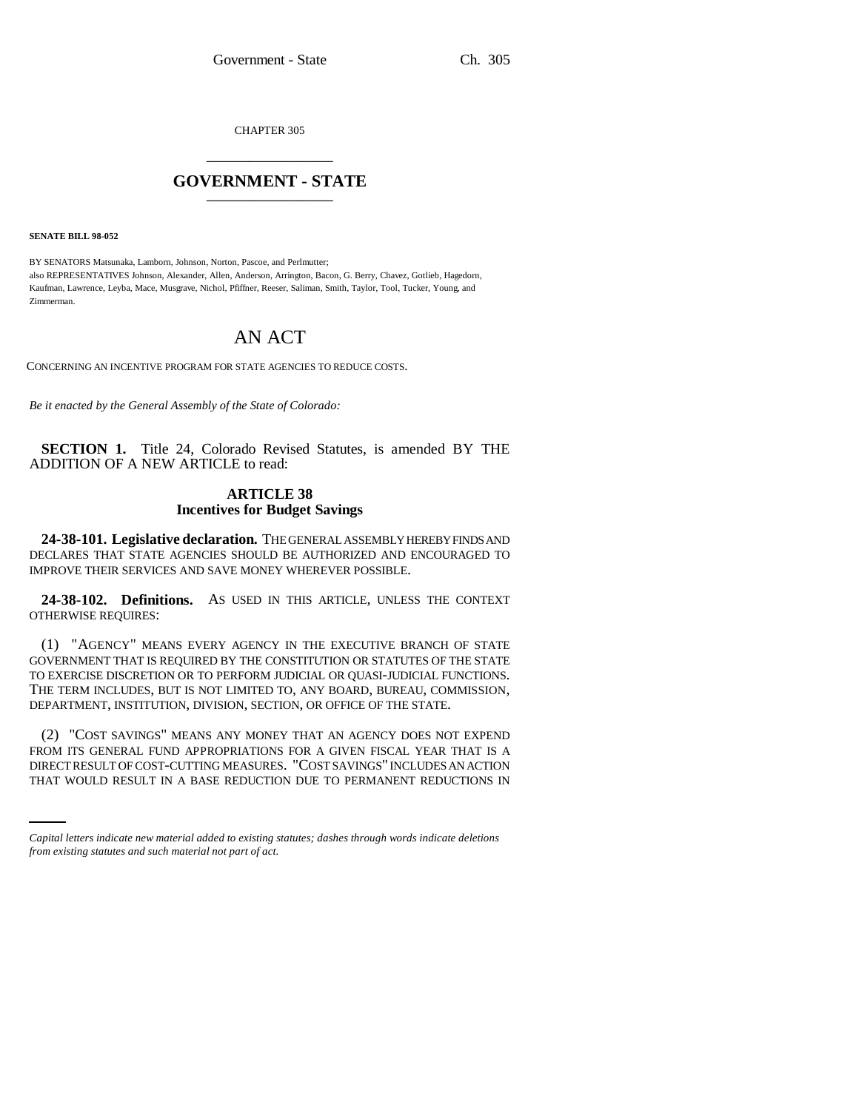CHAPTER 305 \_\_\_\_\_\_\_\_\_\_\_\_\_\_\_

## **GOVERNMENT - STATE** \_\_\_\_\_\_\_\_\_\_\_\_\_\_\_

**SENATE BILL 98-052**

BY SENATORS Matsunaka, Lamborn, Johnson, Norton, Pascoe, and Perlmutter; also REPRESENTATIVES Johnson, Alexander, Allen, Anderson, Arrington, Bacon, G. Berry, Chavez, Gotlieb, Hagedorn, Kaufman, Lawrence, Leyba, Mace, Musgrave, Nichol, Pfiffner, Reeser, Saliman, Smith, Taylor, Tool, Tucker, Young, and Zimmerman.

## AN ACT

CONCERNING AN INCENTIVE PROGRAM FOR STATE AGENCIES TO REDUCE COSTS.

*Be it enacted by the General Assembly of the State of Colorado:*

**SECTION 1.** Title 24, Colorado Revised Statutes, is amended BY THE ADDITION OF A NEW ARTICLE to read:

## **ARTICLE 38 Incentives for Budget Savings**

**24-38-101. Legislative declaration.** THE GENERAL ASSEMBLY HEREBY FINDS AND DECLARES THAT STATE AGENCIES SHOULD BE AUTHORIZED AND ENCOURAGED TO IMPROVE THEIR SERVICES AND SAVE MONEY WHEREVER POSSIBLE.

**24-38-102. Definitions.** AS USED IN THIS ARTICLE, UNLESS THE CONTEXT OTHERWISE REQUIRES:

(1) "AGENCY" MEANS EVERY AGENCY IN THE EXECUTIVE BRANCH OF STATE GOVERNMENT THAT IS REQUIRED BY THE CONSTITUTION OR STATUTES OF THE STATE TO EXERCISE DISCRETION OR TO PERFORM JUDICIAL OR QUASI-JUDICIAL FUNCTIONS. THE TERM INCLUDES, BUT IS NOT LIMITED TO, ANY BOARD, BUREAU, COMMISSION, DEPARTMENT, INSTITUTION, DIVISION, SECTION, OR OFFICE OF THE STATE.

FROM ITS GENERAL FUND APPROPRIATIONS FOR A GIVEN FISCAL YEAR THAT IS A (2) "COST SAVINGS" MEANS ANY MONEY THAT AN AGENCY DOES NOT EXPEND DIRECT RESULT OF COST-CUTTING MEASURES. "COST SAVINGS" INCLUDES AN ACTION THAT WOULD RESULT IN A BASE REDUCTION DUE TO PERMANENT REDUCTIONS IN

*Capital letters indicate new material added to existing statutes; dashes through words indicate deletions from existing statutes and such material not part of act.*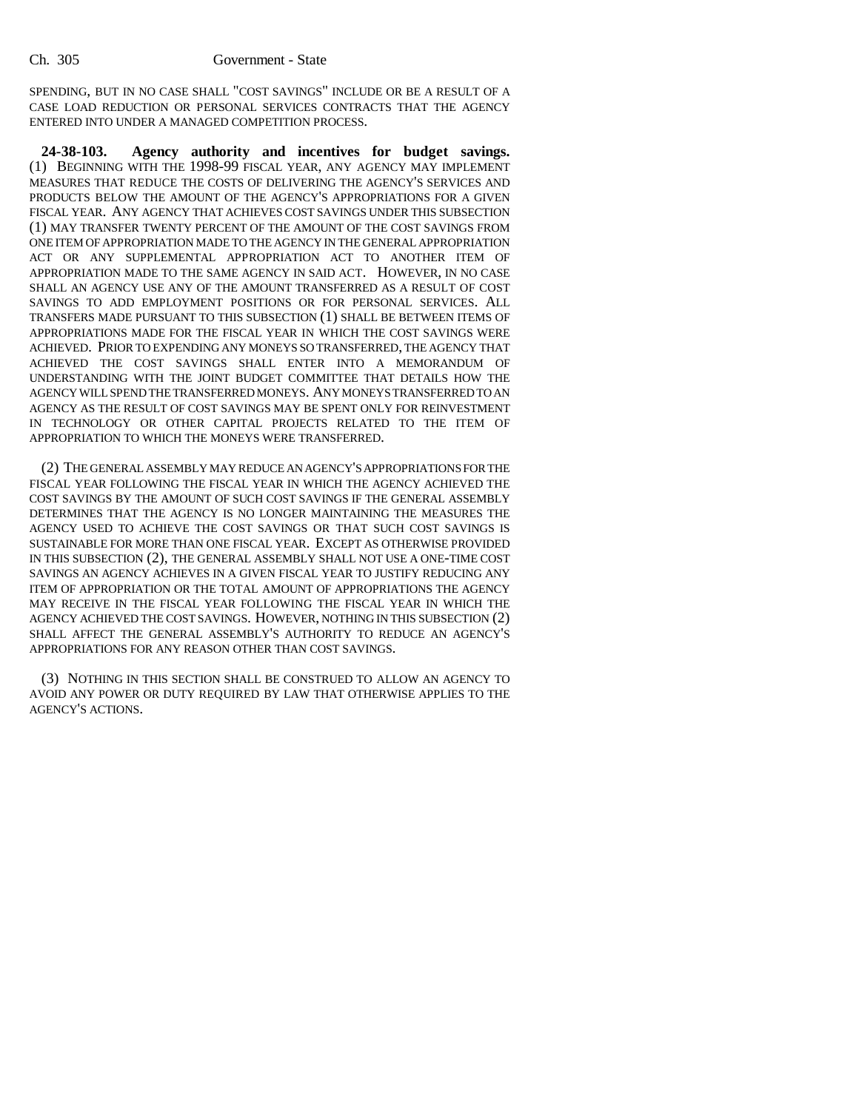## Ch. 305 Government - State

SPENDING, BUT IN NO CASE SHALL "COST SAVINGS" INCLUDE OR BE A RESULT OF A CASE LOAD REDUCTION OR PERSONAL SERVICES CONTRACTS THAT THE AGENCY ENTERED INTO UNDER A MANAGED COMPETITION PROCESS.

**24-38-103. Agency authority and incentives for budget savings.** (1) BEGINNING WITH THE 1998-99 FISCAL YEAR, ANY AGENCY MAY IMPLEMENT MEASURES THAT REDUCE THE COSTS OF DELIVERING THE AGENCY'S SERVICES AND PRODUCTS BELOW THE AMOUNT OF THE AGENCY'S APPROPRIATIONS FOR A GIVEN FISCAL YEAR. ANY AGENCY THAT ACHIEVES COST SAVINGS UNDER THIS SUBSECTION (1) MAY TRANSFER TWENTY PERCENT OF THE AMOUNT OF THE COST SAVINGS FROM ONE ITEM OF APPROPRIATION MADE TO THE AGENCY IN THE GENERAL APPROPRIATION ACT OR ANY SUPPLEMENTAL APPROPRIATION ACT TO ANOTHER ITEM OF APPROPRIATION MADE TO THE SAME AGENCY IN SAID ACT. HOWEVER, IN NO CASE SHALL AN AGENCY USE ANY OF THE AMOUNT TRANSFERRED AS A RESULT OF COST SAVINGS TO ADD EMPLOYMENT POSITIONS OR FOR PERSONAL SERVICES. ALL TRANSFERS MADE PURSUANT TO THIS SUBSECTION (1) SHALL BE BETWEEN ITEMS OF APPROPRIATIONS MADE FOR THE FISCAL YEAR IN WHICH THE COST SAVINGS WERE ACHIEVED. PRIOR TO EXPENDING ANY MONEYS SO TRANSFERRED, THE AGENCY THAT ACHIEVED THE COST SAVINGS SHALL ENTER INTO A MEMORANDUM OF UNDERSTANDING WITH THE JOINT BUDGET COMMITTEE THAT DETAILS HOW THE AGENCY WILL SPEND THE TRANSFERRED MONEYS. ANY MONEYS TRANSFERRED TO AN AGENCY AS THE RESULT OF COST SAVINGS MAY BE SPENT ONLY FOR REINVESTMENT IN TECHNOLOGY OR OTHER CAPITAL PROJECTS RELATED TO THE ITEM OF APPROPRIATION TO WHICH THE MONEYS WERE TRANSFERRED.

(2) THE GENERAL ASSEMBLY MAY REDUCE AN AGENCY'S APPROPRIATIONS FOR THE FISCAL YEAR FOLLOWING THE FISCAL YEAR IN WHICH THE AGENCY ACHIEVED THE COST SAVINGS BY THE AMOUNT OF SUCH COST SAVINGS IF THE GENERAL ASSEMBLY DETERMINES THAT THE AGENCY IS NO LONGER MAINTAINING THE MEASURES THE AGENCY USED TO ACHIEVE THE COST SAVINGS OR THAT SUCH COST SAVINGS IS SUSTAINABLE FOR MORE THAN ONE FISCAL YEAR. EXCEPT AS OTHERWISE PROVIDED IN THIS SUBSECTION (2), THE GENERAL ASSEMBLY SHALL NOT USE A ONE-TIME COST SAVINGS AN AGENCY ACHIEVES IN A GIVEN FISCAL YEAR TO JUSTIFY REDUCING ANY ITEM OF APPROPRIATION OR THE TOTAL AMOUNT OF APPROPRIATIONS THE AGENCY MAY RECEIVE IN THE FISCAL YEAR FOLLOWING THE FISCAL YEAR IN WHICH THE AGENCY ACHIEVED THE COST SAVINGS. HOWEVER, NOTHING IN THIS SUBSECTION (2) SHALL AFFECT THE GENERAL ASSEMBLY'S AUTHORITY TO REDUCE AN AGENCY'S APPROPRIATIONS FOR ANY REASON OTHER THAN COST SAVINGS.

(3) NOTHING IN THIS SECTION SHALL BE CONSTRUED TO ALLOW AN AGENCY TO AVOID ANY POWER OR DUTY REQUIRED BY LAW THAT OTHERWISE APPLIES TO THE AGENCY'S ACTIONS.